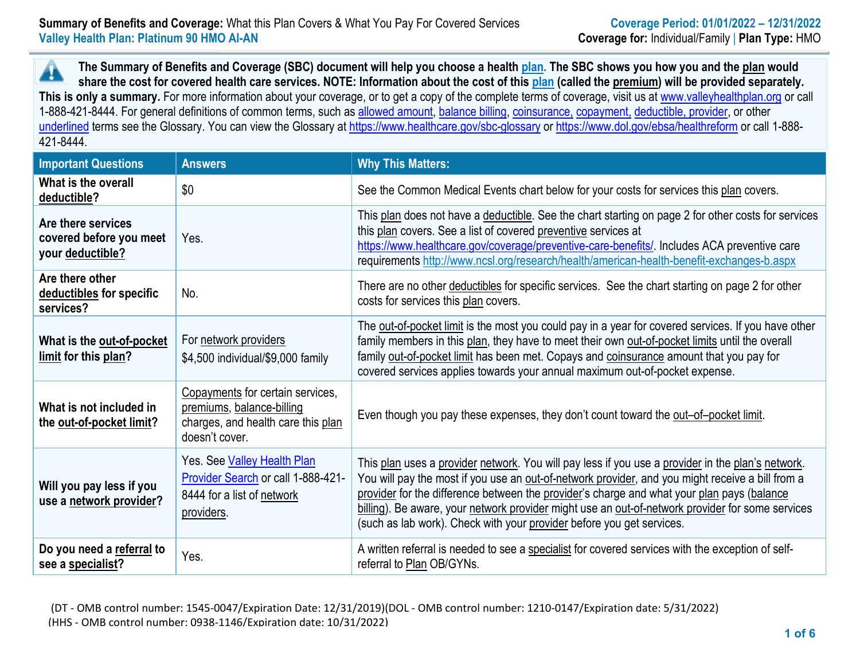**The Summary of Benefits and Coverage (SBC) document will help you choose a health plan. The SBC shows you how you and the plan would** A **share the cost for covered health care services. NOTE: Information about the cost of this plan (called the premium) will be provided separately.** This is only a summary. For more information about your coverage, or to get a copy of the complete terms of coverage, visit us at [www.valleyhealthplan.org](http://www.valleyhealthplan.org/) or call 1-888-421-8444. For general definitions of common terms, such as allowed amount, balance billing, coinsurance, copayment, deductible, provider, or other underlined terms see the Glossary. You can view the Glossary a[t https://www.healthcare.gov/sbc-glossary](https://www.healthcare.gov/sbc-glossary) or<https://www.dol.gov/ebsa/healthreform> or call 1-888-421-8444.

| <b>Important Questions</b>                                        | <b>Answers</b>                                                                                                        | <b>Why This Matters:</b>                                                                                                                                                                                                                                                                                                                                                                                                                                                         |
|-------------------------------------------------------------------|-----------------------------------------------------------------------------------------------------------------------|----------------------------------------------------------------------------------------------------------------------------------------------------------------------------------------------------------------------------------------------------------------------------------------------------------------------------------------------------------------------------------------------------------------------------------------------------------------------------------|
| What is the overall<br>deductible?                                | \$0                                                                                                                   | See the Common Medical Events chart below for your costs for services this plan covers.                                                                                                                                                                                                                                                                                                                                                                                          |
| Are there services<br>covered before you meet<br>your deductible? | Yes.                                                                                                                  | This plan does not have a deductible. See the chart starting on page 2 for other costs for services<br>this plan covers. See a list of covered preventive services at<br>https://www.healthcare.gov/coverage/preventive-care-benefits/. Includes ACA preventive care<br>requirements http://www.ncsl.org/research/health/american-health-benefit-exchanges-b.aspx                                                                                                                |
| Are there other<br>deductibles for specific<br>services?          | No.                                                                                                                   | There are no other deductibles for specific services. See the chart starting on page 2 for other<br>costs for services this plan covers.                                                                                                                                                                                                                                                                                                                                         |
| What is the out-of-pocket<br>limit for this plan?                 | For network providers<br>\$4,500 individual/\$9,000 family                                                            | The out-of-pocket limit is the most you could pay in a year for covered services. If you have other<br>family members in this plan, they have to meet their own out-of-pocket limits until the overall<br>family out-of-pocket limit has been met. Copays and coinsurance amount that you pay for<br>covered services applies towards your annual maximum out-of-pocket expense.                                                                                                 |
| What is not included in<br>the out-of-pocket limit?               | Copayments for certain services,<br>premiums, balance-billing<br>charges, and health care this plan<br>doesn't cover. | Even though you pay these expenses, they don't count toward the out-of-pocket limit.                                                                                                                                                                                                                                                                                                                                                                                             |
| Will you pay less if you<br>use a network provider?               | Yes. See Valley Health Plan<br>Provider Search or call 1-888-421-<br>8444 for a list of network<br>providers.         | This plan uses a provider network. You will pay less if you use a provider in the plan's network.<br>You will pay the most if you use an out-of-network provider, and you might receive a bill from a<br>provider for the difference between the provider's charge and what your plan pays (balance<br>billing). Be aware, your network provider might use an out-of-network provider for some services<br>(such as lab work). Check with your provider before you get services. |
| Do you need a referral to<br>see a specialist?                    | Yes.                                                                                                                  | A written referral is needed to see a specialist for covered services with the exception of self-<br>referral to Plan OB/GYNs.                                                                                                                                                                                                                                                                                                                                                   |

(DT - OMB control number: 1545-0047/Expiration Date: 12/31/2019)(DOL - OMB control number: 1210-0147/Expiration date: 5/31/2022) (HHS - OMB control number: 0938-1146/Expiration date: 10/31/2022)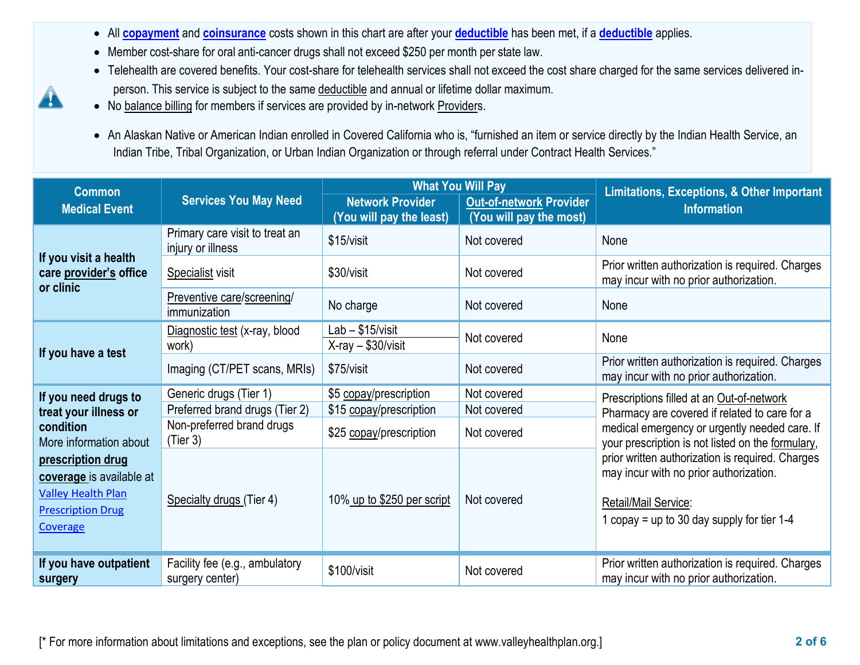- All **[copayment](https://www.healthcare.gov/sbc-glossary/#copayment)** and **[coinsurance](https://www.healthcare.gov/sbc-glossary/#coinsurance)** costs shown in this chart are after your **[deductible](https://www.healthcare.gov/sbc-glossary/#deductible)** has been met, if a **[deductible](https://www.healthcare.gov/sbc-glossary/#deductible)** applies.
- Member cost-share for oral anti-cancer drugs shall not exceed \$250 per month per state law.
- Telehealth are covered benefits. Your cost-share for telehealth services shall not exceed the cost share charged for the same services delivered inperson. This service is subject to the same deductible and annual or lifetime dollar maximum.
- No balance billing for members if services are provided by in-network Providers.

4

• An Alaskan Native or American Indian enrolled in Covered California who is, "furnished an item or service directly by the Indian Health Service, an Indian Tribe, Tribal Organization, or Urban Indian Organization or through referral under Contract Health Services."

| <b>Common</b>                                                                                                      | <b>Services You May Need</b>                        |                                                     | <b>What You Will Pay</b>                                  | Limitations, Exceptions, & Other Important<br><b>Information</b>                                                                                                   |  |
|--------------------------------------------------------------------------------------------------------------------|-----------------------------------------------------|-----------------------------------------------------|-----------------------------------------------------------|--------------------------------------------------------------------------------------------------------------------------------------------------------------------|--|
| <b>Medical Event</b>                                                                                               |                                                     | <b>Network Provider</b><br>(You will pay the least) | <b>Out-of-network Provider</b><br>(You will pay the most) |                                                                                                                                                                    |  |
| If you visit a health<br>care provider's office<br>or clinic                                                       | Primary care visit to treat an<br>injury or illness | \$15/visit                                          | Not covered                                               | None                                                                                                                                                               |  |
|                                                                                                                    | Specialist visit                                    | \$30/visit                                          | Not covered                                               | Prior written authorization is required. Charges<br>may incur with no prior authorization.                                                                         |  |
|                                                                                                                    | Preventive care/screening/<br>immunization          | No charge                                           | Not covered                                               | None                                                                                                                                                               |  |
| If you have a test                                                                                                 | Diagnostic test (x-ray, blood<br>work)              | Lab - \$15/visit<br>$X-ray - $30/visit$             | Not covered                                               | None                                                                                                                                                               |  |
|                                                                                                                    | Imaging (CT/PET scans, MRIs)                        | \$75/visit                                          | Not covered                                               | Prior written authorization is required. Charges<br>may incur with no prior authorization.                                                                         |  |
| If you need drugs to                                                                                               | Generic drugs (Tier 1)                              | \$5 copay/prescription                              | Not covered                                               | Prescriptions filled at an Out-of-network                                                                                                                          |  |
| treat your illness or                                                                                              | Preferred brand drugs (Tier 2)                      | \$15 copay/prescription                             | Not covered                                               | Pharmacy are covered if related to care for a                                                                                                                      |  |
| condition<br>More information about                                                                                | Non-preferred brand drugs<br>(Tier 3)               | \$25 copay/prescription                             | Not covered                                               | medical emergency or urgently needed care. If<br>your prescription is not listed on the formulary,                                                                 |  |
| prescription drug<br>coverage is available at<br><b>Valley Health Plan</b><br><b>Prescription Drug</b><br>Coverage | Specialty drugs (Tier 4)                            | 10% up to \$250 per script                          | Not covered                                               | prior written authorization is required. Charges<br>may incur with no prior authorization.<br>Retail/Mail Service:<br>1 copay = up to 30 day supply for tier $1-4$ |  |
| If you have outpatient<br>surgery                                                                                  | Facility fee (e.g., ambulatory<br>surgery center)   | \$100/visit                                         | Not covered                                               | Prior written authorization is required. Charges<br>may incur with no prior authorization.                                                                         |  |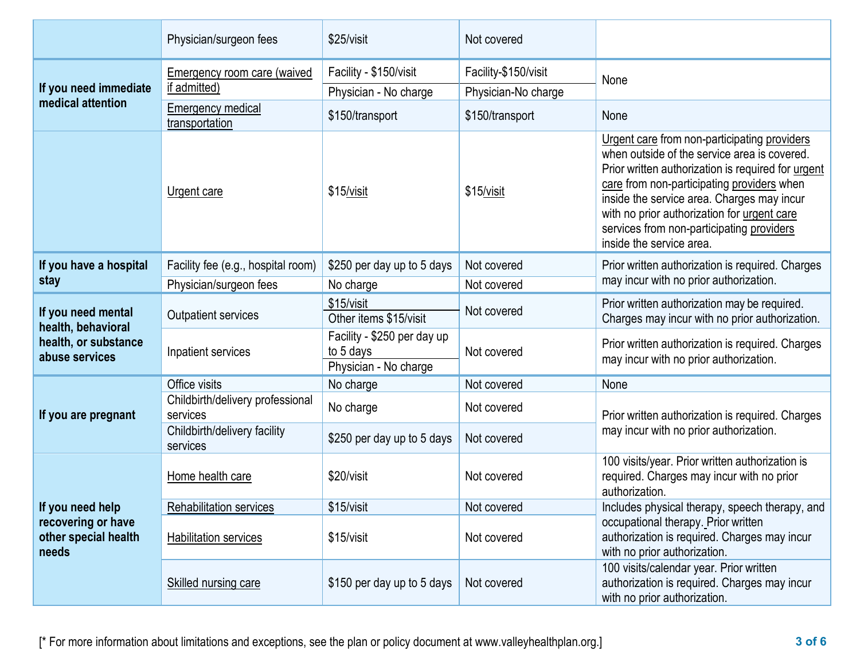|                                                                                    | Physician/surgeon fees                       | \$25/visit                               | Not covered          |                                                                                                                                                                                                                                                                                                                                                                        |  |
|------------------------------------------------------------------------------------|----------------------------------------------|------------------------------------------|----------------------|------------------------------------------------------------------------------------------------------------------------------------------------------------------------------------------------------------------------------------------------------------------------------------------------------------------------------------------------------------------------|--|
| If you need immediate<br>medical attention                                         | <b>Emergency room care (waived</b>           | Facility - \$150/visit                   | Facility-\$150/visit | None                                                                                                                                                                                                                                                                                                                                                                   |  |
|                                                                                    | if admitted)                                 | Physician - No charge                    | Physician-No charge  |                                                                                                                                                                                                                                                                                                                                                                        |  |
|                                                                                    | <b>Emergency medical</b><br>transportation   | \$150/transport                          | \$150/transport      | None                                                                                                                                                                                                                                                                                                                                                                   |  |
|                                                                                    | Urgent care                                  | \$15/visit                               | \$15/visit           | Urgent care from non-participating providers<br>when outside of the service area is covered.<br>Prior written authorization is required for urgent<br>care from non-participating providers when<br>inside the service area. Charges may incur<br>with no prior authorization for urgent care<br>services from non-participating providers<br>inside the service area. |  |
| If you have a hospital                                                             | Facility fee (e.g., hospital room)           | \$250 per day up to 5 days               | Not covered          | Prior written authorization is required. Charges                                                                                                                                                                                                                                                                                                                       |  |
| stay                                                                               | Physician/surgeon fees                       | No charge                                | Not covered          | may incur with no prior authorization.                                                                                                                                                                                                                                                                                                                                 |  |
| If you need mental<br>health, behavioral<br>health, or substance<br>abuse services | <b>Outpatient services</b>                   | \$15/visit<br>Other items \$15/visit     | Not covered          | Prior written authorization may be required.<br>Charges may incur with no prior authorization.                                                                                                                                                                                                                                                                         |  |
|                                                                                    | Inpatient services                           | Facility - \$250 per day up<br>to 5 days | Not covered          | Prior written authorization is required. Charges<br>may incur with no prior authorization.                                                                                                                                                                                                                                                                             |  |
|                                                                                    |                                              | Physician - No charge                    |                      |                                                                                                                                                                                                                                                                                                                                                                        |  |
|                                                                                    | Office visits                                | No charge                                | Not covered          | None                                                                                                                                                                                                                                                                                                                                                                   |  |
| If you are pregnant                                                                | Childbirth/delivery professional<br>services | No charge                                | Not covered          | Prior written authorization is required. Charges<br>may incur with no prior authorization.                                                                                                                                                                                                                                                                             |  |
|                                                                                    | Childbirth/delivery facility<br>services     | \$250 per day up to 5 days               | Not covered          |                                                                                                                                                                                                                                                                                                                                                                        |  |
| If you need help<br>recovering or have<br>other special health<br>needs            | Home health care                             | \$20/visit                               | Not covered          | 100 visits/year. Prior written authorization is<br>required. Charges may incur with no prior<br>authorization.                                                                                                                                                                                                                                                         |  |
|                                                                                    | Rehabilitation services                      | \$15/visit                               | Not covered          | Includes physical therapy, speech therapy, and                                                                                                                                                                                                                                                                                                                         |  |
|                                                                                    | <b>Habilitation services</b>                 | \$15/visit                               | Not covered          | occupational therapy. Prior written<br>authorization is required. Charges may incur<br>with no prior authorization.                                                                                                                                                                                                                                                    |  |
|                                                                                    | Skilled nursing care                         | \$150 per day up to 5 days               | Not covered          | 100 visits/calendar year. Prior written<br>authorization is required. Charges may incur<br>with no prior authorization.                                                                                                                                                                                                                                                |  |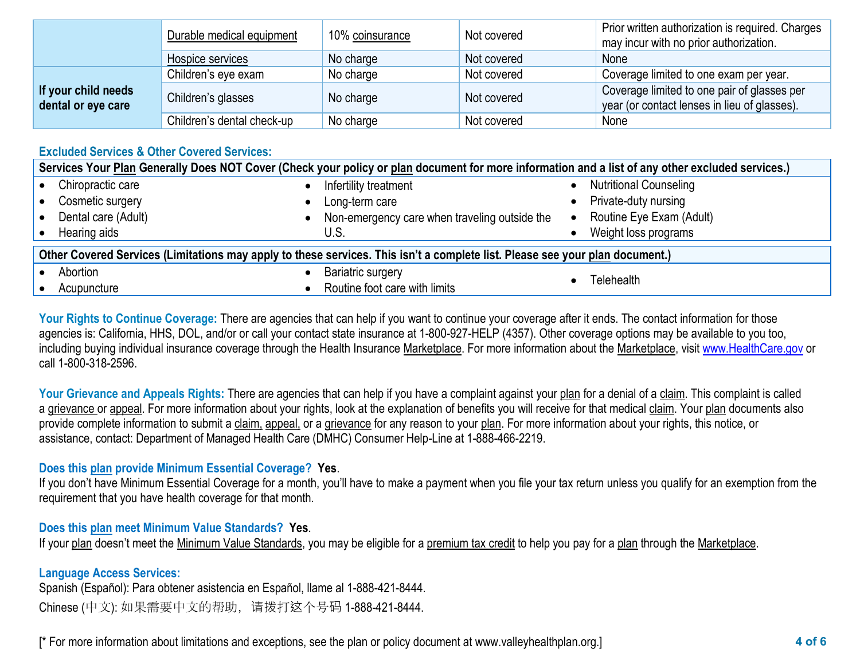|                                           | Durable medical equipment  | 10% coinsurance | Not covered | Prior written authorization is required. Charges<br>may incur with no prior authorization.  |
|-------------------------------------------|----------------------------|-----------------|-------------|---------------------------------------------------------------------------------------------|
|                                           | Hospice services           | No charge       | Not covered | None                                                                                        |
| If your child needs<br>dental or eye care | Children's eye exam        | No charge       | Not covered | Coverage limited to one exam per year.                                                      |
|                                           | Children's glasses         | No charge       | Not covered | Coverage limited to one pair of glasses per<br>year (or contact lenses in lieu of glasses). |
|                                           | Children's dental check-up | No charge       | Not covered | None                                                                                        |

## **Excluded Services & Other Covered Services:**

| Services Your Plan Generally Does NOT Cover (Check your policy or plan document for more information and a list of any other excluded services.) |                                               |                                       |  |  |  |
|--------------------------------------------------------------------------------------------------------------------------------------------------|-----------------------------------------------|---------------------------------------|--|--|--|
| Chiropractic care                                                                                                                                | Infertility treatment                         | <b>Nutritional Counseling</b>         |  |  |  |
| Cosmetic surgery<br>$\bullet$                                                                                                                    | Long-term care                                | Private-duty nursing                  |  |  |  |
| Dental care (Adult)<br>$\bullet$                                                                                                                 | Non-emergency care when traveling outside the | Routine Eye Exam (Adult)<br>$\bullet$ |  |  |  |
| Hearing aids                                                                                                                                     | U.S.                                          | Weight loss programs                  |  |  |  |
| Other Covered Services (Limitations may apply to these services. This isn't a complete list. Please see your plan document.)                     |                                               |                                       |  |  |  |
| Abortion                                                                                                                                         | <b>Bariatric surgery</b>                      | Telehealth                            |  |  |  |
| Acupuncture                                                                                                                                      | Routine foot care with limits                 |                                       |  |  |  |

Your Rights to Continue Coverage: There are agencies that can help if you want to continue your coverage after it ends. The contact information for those agencies is: California, HHS, DOL, and/or or call your contact state insurance at 1-800-927-HELP (4357). Other coverage options may be available to you too, including buying individual insurance coverage through the Health Insurance Marketplace. For more information about the Marketplace, visit www.HealthCare.gov or call 1-800-318-2596.

Your Grievance and Appeals Rights: There are agencies that can help if you have a complaint against your plan for a denial of a claim. This complaint is called a grievance or appeal. For more information about your rights, look at the explanation of benefits you will receive for that medical claim. Your plan documents also provide complete information to submit a claim, appeal, or a grievance for any reason to your plan. For more information about your rights, this notice, or assistance, contact: Department of Managed Health Care (DMHC) Consumer Help-Line at 1-888-466-2219.

## **Does this plan provide Minimum Essential Coverage? Yes**.

If you don't have Minimum Essential Coverage for a month, you'll have to make a payment when you file your tax return unless you qualify for an exemption from the requirement that you have health coverage for that month.

## **Does this plan meet Minimum Value Standards? Yes**.

If your plan doesn't meet the Minimum Value Standards, you may be eligible for a premium tax credit to help you pay for a plan through the Marketplace.

## **Language Access Services:**

Spanish (Español): Para obtener asistencia en Español, llame al 1-888-421-8444. Chinese (中文): 如果需要中文的帮助,请拨打这个号码 1-888-421-8444.

[\* For more information about limitations and exceptions, see the plan or policy document at www.valleyhealthplan.org.] **4 of 6**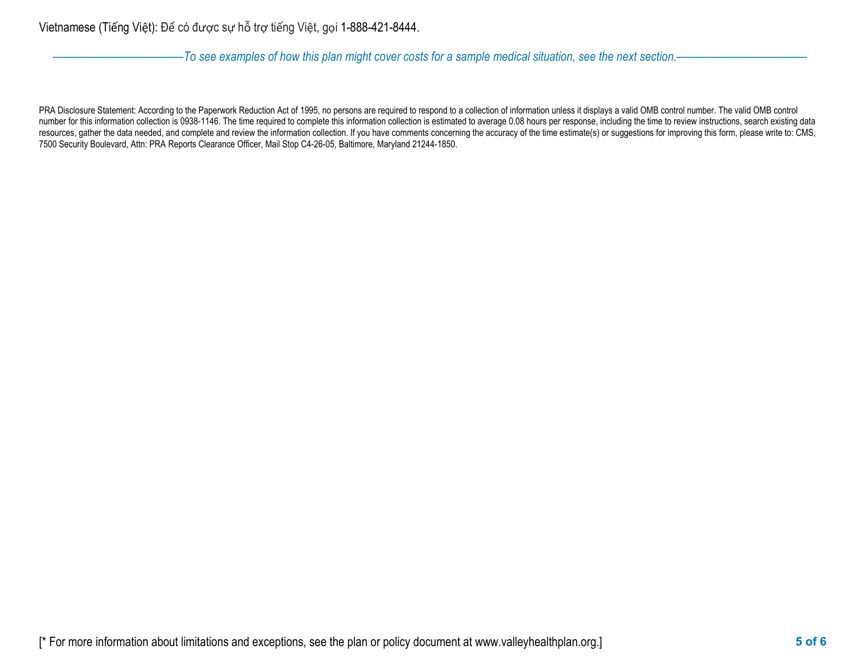––––––––––––––––––––––*To see examples of how this plan might cover costs for a sample medical situation, see the next section.–––––––––––*–––––––––––

PRA Disclosure Statement: According to the Paperwork Reduction Act of 1995, no persons are required to respond to a collection of information unless it displays a valid OMB control number. The valid OMB control number for this information collection is 0938-1146. The time required to complete this information collection is estimated to average 0.08 hours per response, including the time to review instructions, search existing dat resources, gather the data needed, and complete and review the information collection. If you have comments concerning the accuracy of the time estimate(s) or suggestions for improving this form, please write to: CMS, 7500 Security Boulevard, Attn: PRA Reports Clearance Officer, Mail Stop C4-26-05, Baltimore, Maryland 21244-1850.